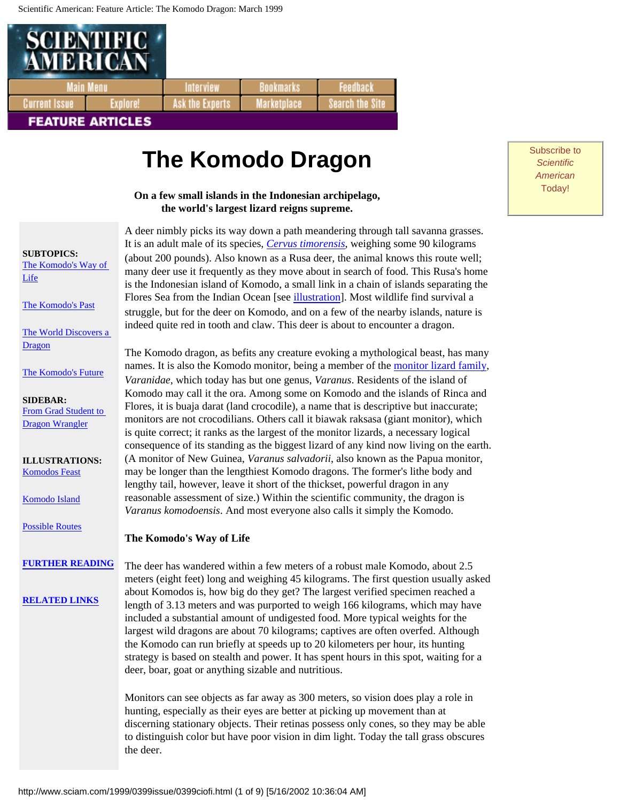<span id="page-0-1"></span>

### **The Komodo Dragon**

**On a few small islands in the Indonesian archipelago, the world's largest lizard reigns supreme.**

[Subscribe to](http://www.sciam.com/subscribe.cfm?lsource=magfeature) *[Scientific](http://www.sciam.com/subscribe.cfm?lsource=magfeature) [American](http://www.sciam.com/subscribe.cfm?lsource=magfeature)* [Today!](http://www.sciam.com/subscribe.cfm?lsource=magfeature)

A deer nimbly picks its way down a path meandering through tall savanna grasses. It is an adult male of its species, *[Cervus timorensis](http://www.deer.rr.ualberta.ca/library/taxonomy/cervus_timorensis.htm)*, weighing some 90 kilograms (about 200 pounds). Also known as a Rusa deer, the animal knows this route well; many deer use it frequently as they move about in search of food. This Rusa's home is the Indonesian island of Komodo, a small link in a chain of islands separating the Flores Sea from the Indian Ocean [see [illustration](#page-11-0)]. Most wildlife find survival a struggle, but for the deer on Komodo, and on a few of the nearby islands, nature is indeed quite red in tooth and claw. This deer is about to encounter a dragon.

The Komodo dragon, as befits any creature evoking a mythological beast, has many names. It is also the Komodo monitor, being a member of the [monitor lizard family,](http://members.aol.com/FRILLED/index1.html) *Varanidae*, which today has but one genus, *Varanus*. Residents of the island of Komodo may call it the ora. Among some on Komodo and the islands of Rinca and Flores, it is buaja darat (land crocodile), a name that is descriptive but inaccurate; monitors are not crocodilians. Others call it biawak raksasa (giant monitor), which is quite correct; it ranks as the largest of the monitor lizards, a necessary logical consequence of its standing as the biggest lizard of any kind now living on the earth. (A monitor of New Guinea, *Varanus salvadorii*, also known as the Papua monitor, may be longer than the lengthiest Komodo dragons. The former's lithe body and lengthy tail, however, leave it short of the thickset, powerful dragon in any reasonable assessment of size.) Within the scientific community, the dragon is *Varanus komodoensis*. And most everyone also calls it simply the Komodo.

### **The Komodo's Way of Life**

<span id="page-0-0"></span>**[FURTHER READING](#page-7-0)** The deer has wandered within a few meters of a robust male Komodo, about 2.5 meters (eight feet) long and weighing 45 kilograms. The first question usually asked about Komodos is, how big do they get? The largest verified specimen reached a length of 3.13 meters and was purported to weigh 166 kilograms, which may have included a substantial amount of undigested food. More typical weights for the largest wild dragons are about 70 kilograms; captives are often overfed. Although the Komodo can run briefly at speeds up to 20 kilometers per hour, its hunting strategy is based on stealth and power. It has spent hours in this spot, waiting for a deer, boar, goat or anything sizable and nutritious.

> Monitors can see objects as far away as 300 meters, so vision does play a role in hunting, especially as their eyes are better at picking up movement than at discerning stationary objects. Their retinas possess only cones, so they may be able to distinguish color but have poor vision in dim light. Today the tall grass obscures the deer.

#### **SUBTOPICS:**

[The Komodo's Way of](#page-0-0)  [Life](#page-0-0)

[The Komodo's Past](#page-3-0)

[The World Discovers a](#page-5-0)  [Dragon](#page-5-0)

[The Komodo's Future](#page-5-1)

**SIDEBAR:** [From Grad Student to](#page-9-0)  [Dragon Wrangler](#page-9-0)

**ILLUSTRATIONS:** [Komodos Feast](#page-10-0)

[Komodo Island](#page-11-0)

[Possible Routes](#page-12-0)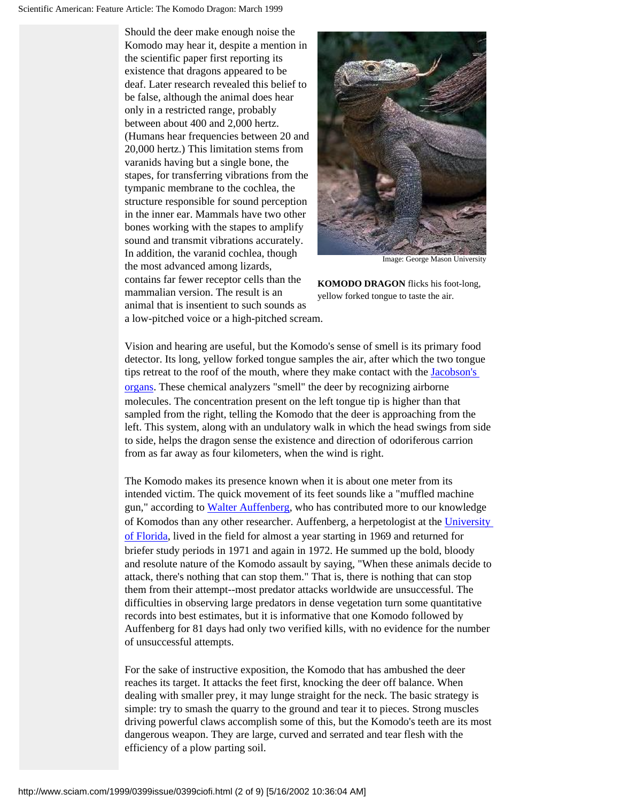Should the deer make enough noise the Komodo may hear it, despite a mention in the scientific paper first reporting its existence that dragons appeared to be deaf. Later research revealed this belief to be false, although the animal does hear only in a restricted range, probably between about 400 and 2,000 hertz. (Humans hear frequencies between 20 and 20,000 hertz.) This limitation stems from varanids having but a single bone, the stapes, for transferring vibrations from the tympanic membrane to the cochlea, the structure responsible for sound perception in the inner ear. Mammals have two other bones working with the stapes to amplify sound and transmit vibrations accurately. In addition, the varanid cochlea, though the most advanced among lizards, contains far fewer receptor cells than the mammalian version. The result is an animal that is insentient to such sounds as a low-pitched voice or a high-pitched scream.



Image: George Mason University

**KOMODO DRAGON** flicks his foot-long, yellow forked tongue to taste the air.

Vision and hearing are useful, but the Komodo's sense of smell is its primary food detector. Its long, yellow forked tongue samples the air, after which the two tongue tips retreat to the roof of the mouth, where they make contact with the [Jacobson's](http://www.neuro.fsu.edu/research/vomer.htm#K) [organs.](http://www.neuro.fsu.edu/research/vomer.htm#K) These chemical analyzers "smell" the deer by recognizing airborne molecules. The concentration present on the left tongue tip is higher than that sampled from the right, telling the Komodo that the deer is approaching from the left. This system, along with an undulatory walk in which the head swings from side to side, helps the dragon sense the existence and direction of odoriferous carrion from as far away as four kilometers, when the wind is right.

The Komodo makes its presence known when it is about one meter from its intended victim. The quick movement of its feet sounds like a "muffled machine gun," according to [Walter Auffenberg](http://www.flmnh.ufl.edu./natsci/herpetology/UF-herp/alumni/auffenberg.htm), who has contributed more to our knowledge of Komodos than any other researcher. Auffenberg, a herpetologist at the [University](http://www.ufl.edu/)  [of Florida,](http://www.ufl.edu/) lived in the field for almost a year starting in 1969 and returned for briefer study periods in 1971 and again in 1972. He summed up the bold, bloody and resolute nature of the Komodo assault by saying, "When these animals decide to attack, there's nothing that can stop them." That is, there is nothing that can stop them from their attempt--most predator attacks worldwide are unsuccessful. The difficulties in observing large predators in dense vegetation turn some quantitative records into best estimates, but it is informative that one Komodo followed by Auffenberg for 81 days had only two verified kills, with no evidence for the number of unsuccessful attempts.

For the sake of instructive exposition, the Komodo that has ambushed the deer reaches its target. It attacks the feet first, knocking the deer off balance. When dealing with smaller prey, it may lunge straight for the neck. The basic strategy is simple: try to smash the quarry to the ground and tear it to pieces. Strong muscles driving powerful claws accomplish some of this, but the Komodo's teeth are its most dangerous weapon. They are large, curved and serrated and tear flesh with the efficiency of a plow parting soil.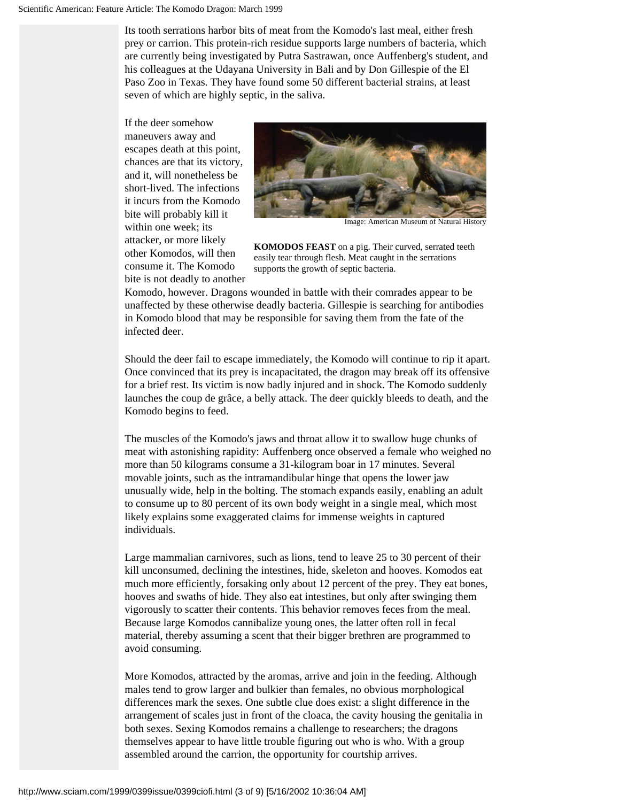Its tooth serrations harbor bits of meat from the Komodo's last meal, either fresh prey or carrion. This protein-rich residue supports large numbers of bacteria, which are currently being investigated by Putra Sastrawan, once Auffenberg's student, and his colleagues at the Udayana University in Bali and by Don Gillespie of the El Paso Zoo in Texas. They have found some 50 different bacterial strains, at least seven of which are highly septic, in the saliva.

If the deer somehow maneuvers away and escapes death at this point, chances are that its victory, and it, will nonetheless be short-lived. The infections it incurs from the Komodo bite will probably kill it within one week; its attacker, or more likely other Komodos, will then consume it. The Komodo bite is not deadly to another



Image: American Museum of Natural History

**KOMODOS FEAST** on a pig. Their curved, serrated teeth easily tear through flesh. Meat caught in the serrations supports the growth of septic bacteria.

Komodo, however. Dragons wounded in battle with their comrades appear to be unaffected by these otherwise deadly bacteria. Gillespie is searching for antibodies in Komodo blood that may be responsible for saving them from the fate of the infected deer.

Should the deer fail to escape immediately, the Komodo will continue to rip it apart. Once convinced that its prey is incapacitated, the dragon may break off its offensive for a brief rest. Its victim is now badly injured and in shock. The Komodo suddenly launches the coup de grâce, a belly attack. The deer quickly bleeds to death, and the Komodo begins to feed.

The muscles of the Komodo's jaws and throat allow it to swallow huge chunks of meat with astonishing rapidity: Auffenberg once observed a female who weighed no more than 50 kilograms consume a 31-kilogram boar in 17 minutes. Several movable joints, such as the intramandibular hinge that opens the lower jaw unusually wide, help in the bolting. The stomach expands easily, enabling an adult to consume up to 80 percent of its own body weight in a single meal, which most likely explains some exaggerated claims for immense weights in captured individuals.

Large mammalian carnivores, such as lions, tend to leave 25 to 30 percent of their kill unconsumed, declining the intestines, hide, skeleton and hooves. Komodos eat much more efficiently, forsaking only about 12 percent of the prey. They eat bones, hooves and swaths of hide. They also eat intestines, but only after swinging them vigorously to scatter their contents. This behavior removes feces from the meal. Because large Komodos cannibalize young ones, the latter often roll in fecal material, thereby assuming a scent that their bigger brethren are programmed to avoid consuming.

More Komodos, attracted by the aromas, arrive and join in the feeding. Although males tend to grow larger and bulkier than females, no obvious morphological differences mark the sexes. One subtle clue does exist: a slight difference in the arrangement of scales just in front of the cloaca, the cavity housing the genitalia in both sexes. Sexing Komodos remains a challenge to researchers; the dragons themselves appear to have little trouble figuring out who is who. With a group assembled around the carrion, the opportunity for courtship arrives.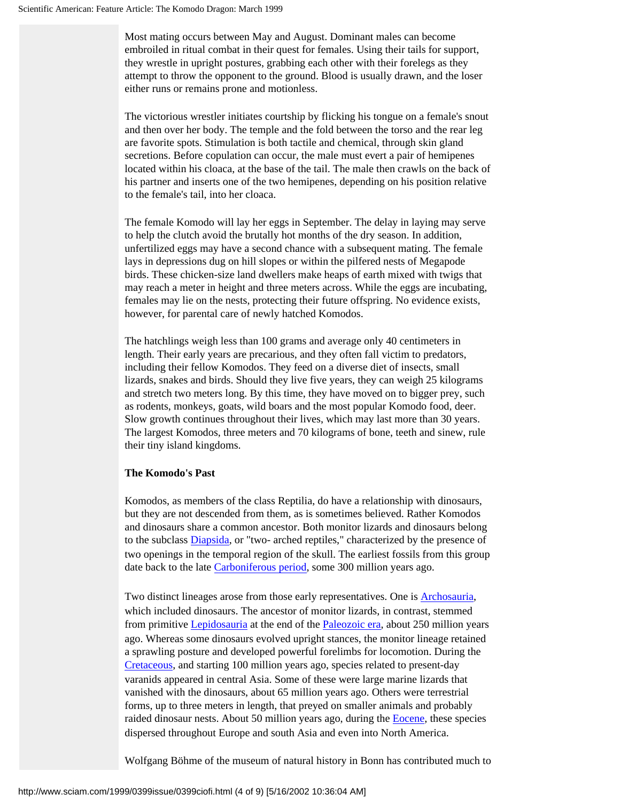Most mating occurs between May and August. Dominant males can become embroiled in ritual combat in their quest for females. Using their tails for support, they wrestle in upright postures, grabbing each other with their forelegs as they attempt to throw the opponent to the ground. Blood is usually drawn, and the loser either runs or remains prone and motionless.

The victorious wrestler initiates courtship by flicking his tongue on a female's snout and then over her body. The temple and the fold between the torso and the rear leg are favorite spots. Stimulation is both tactile and chemical, through skin gland secretions. Before copulation can occur, the male must evert a pair of hemipenes located within his cloaca, at the base of the tail. The male then crawls on the back of his partner and inserts one of the two hemipenes, depending on his position relative to the female's tail, into her cloaca.

The female Komodo will lay her eggs in September. The delay in laying may serve to help the clutch avoid the brutally hot months of the dry season. In addition, unfertilized eggs may have a second chance with a subsequent mating. The female lays in depressions dug on hill slopes or within the pilfered nests of Megapode birds. These chicken-size land dwellers make heaps of earth mixed with twigs that may reach a meter in height and three meters across. While the eggs are incubating, females may lie on the nests, protecting their future offspring. No evidence exists, however, for parental care of newly hatched Komodos.

The hatchlings weigh less than 100 grams and average only 40 centimeters in length. Their early years are precarious, and they often fall victim to predators, including their fellow Komodos. They feed on a diverse diet of insects, small lizards, snakes and birds. Should they live five years, they can weigh 25 kilograms and stretch two meters long. By this time, they have moved on to bigger prey, such as rodents, monkeys, goats, wild boars and the most popular Komodo food, deer. Slow growth continues throughout their lives, which may last more than 30 years. The largest Komodos, three meters and 70 kilograms of bone, teeth and sinew, rule their tiny island kingdoms.

#### <span id="page-3-0"></span>**The Komodo's Past**

Komodos, as members of the class Reptilia, do have a relationship with dinosaurs, but they are not descended from them, as is sometimes believed. Rather Komodos and dinosaurs share a common ancestor. Both monitor lizards and dinosaurs belong to the subclass [Diapsida](http://www.ucmp.berkeley.edu/diapsids/diapsids.html), or "two- arched reptiles," characterized by the presence of two openings in the temporal region of the skull. The earliest fossils from this group date back to the late [Carboniferous period,](http://www.ucmp.berkeley.edu/carboniferous/carboniferous.html) some 300 million years ago.

Two distinct lineages arose from those early representatives. One is [Archosauria,](http://www.ucmp.berkeley.edu/diapsids/archosauria.html) which included dinosaurs. The ancestor of monitor lizards, in contrast, stemmed from primitive [Lepidosauria](http://www.embl-heidelberg.de/~uetz/LivingReptiles.html#C16) at the end of the [Paleozoic era](http://www.ucmp.berkeley.edu/paleozoic/paleozoic.html), about 250 million years ago. Whereas some dinosaurs evolved upright stances, the monitor lineage retained a sprawling posture and developed powerful forelimbs for locomotion. During the [Cretaceous,](http://www.ucmp.berkeley.edu/mesozoic/cretaceous/cretaceous.html) and starting 100 million years ago, species related to present-day varanids appeared in central Asia. Some of these were large marine lizards that vanished with the dinosaurs, about 65 million years ago. Others were terrestrial forms, up to three meters in length, that preyed on smaller animals and probably raided dinosaur nests. About 50 million years ago, during the **[Eocene](http://www.ucmp.berkeley.edu/tertiary/eoc.html)**, these species dispersed throughout Europe and south Asia and even into North America.

Wolfgang Böhme of the museum of natural history in Bonn has contributed much to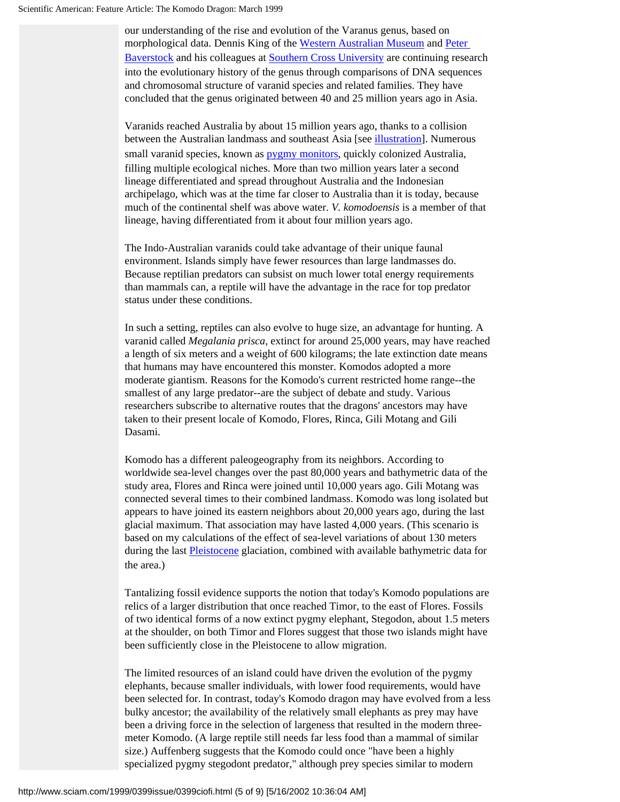our understanding of the rise and evolution of the Varanus genus, based on morphological data. Dennis King of the [Western Australian Museum](http://www.museum.wa.gov.au/) and [Peter](http://www.scu.edu.au/schools/grc/stafflist.html)  [Baverstock](http://www.scu.edu.au/schools/grc/stafflist.html) and his colleagues at [Southern Cross University](http://www.scu.edu.au/) are continuing research into the evolutionary history of the genus through comparisons of DNA sequences and chromosomal structure of varanid species and related families. They have concluded that the genus originated between 40 and 25 million years ago in Asia.

Varanids reached Australia by about 15 million years ago, thanks to a collision between the Australian landmass and southeast Asia [see [illustration](#page-12-0)]. Numerous small varanid species, known as **[pygmy monitors](http://uts.cc.utexas.edu/~varanus/Veremius.html)**, quickly colonized Australia, filling multiple ecological niches. More than two million years later a second lineage differentiated and spread throughout Australia and the Indonesian archipelago, which was at the time far closer to Australia than it is today, because much of the continental shelf was above water. *V. komodoensis* is a member of that lineage, having differentiated from it about four million years ago.

The Indo-Australian varanids could take advantage of their unique faunal environment. Islands simply have fewer resources than large landmasses do. Because reptilian predators can subsist on much lower total energy requirements than mammals can, a reptile will have the advantage in the race for top predator status under these conditions.

In such a setting, reptiles can also evolve to huge size, an advantage for hunting. A varanid called *Megalania prisca*, extinct for around 25,000 years, may have reached a length of six meters and a weight of 600 kilograms; the late extinction date means that humans may have encountered this monster. Komodos adopted a more moderate giantism. Reasons for the Komodo's current restricted home range--the smallest of any large predator--are the subject of debate and study. Various researchers subscribe to alternative routes that the dragons' ancestors may have taken to their present locale of Komodo, Flores, Rinca, Gili Motang and Gili Dasami.

Komodo has a different paleogeography from its neighbors. According to worldwide sea-level changes over the past 80,000 years and bathymetric data of the study area, Flores and Rinca were joined until 10,000 years ago. Gili Motang was connected several times to their combined landmass. Komodo was long isolated but appears to have joined its eastern neighbors about 20,000 years ago, during the last glacial maximum. That association may have lasted 4,000 years. (This scenario is based on my calculations of the effect of sea-level variations of about 130 meters during the last **Pleistocene** glaciation, combined with available bathymetric data for the area.)

Tantalizing fossil evidence supports the notion that today's Komodo populations are relics of a larger distribution that once reached Timor, to the east of Flores. Fossils of two identical forms of a now extinct pygmy elephant, Stegodon, about 1.5 meters at the shoulder, on both Timor and Flores suggest that those two islands might have been sufficiently close in the Pleistocene to allow migration.

The limited resources of an island could have driven the evolution of the pygmy elephants, because smaller individuals, with lower food requirements, would have been selected for. In contrast, today's Komodo dragon may have evolved from a less bulky ancestor; the availability of the relatively small elephants as prey may have been a driving force in the selection of largeness that resulted in the modern threemeter Komodo. (A large reptile still needs far less food than a mammal of similar size.) Auffenberg suggests that the Komodo could once "have been a highly specialized pygmy stegodont predator," although prey species similar to modern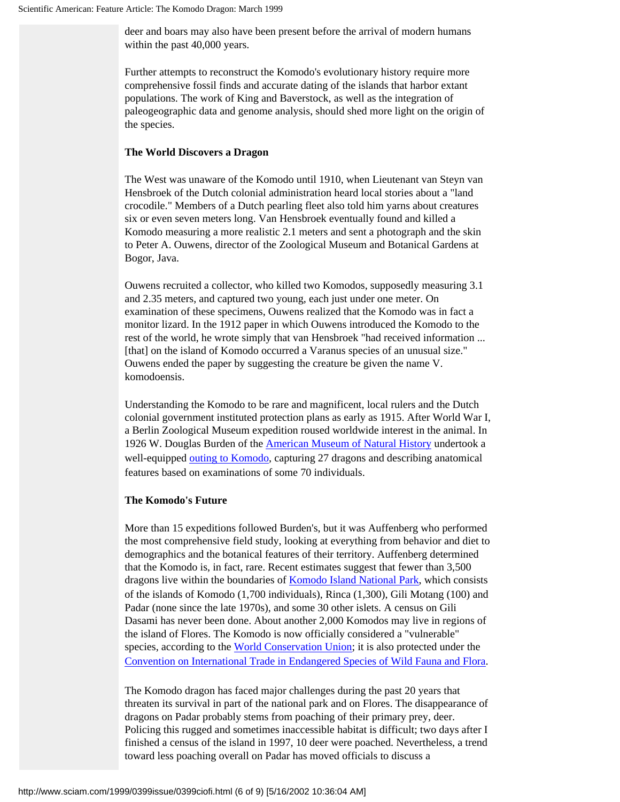deer and boars may also have been present before the arrival of modern humans within the past 40,000 years.

Further attempts to reconstruct the Komodo's evolutionary history require more comprehensive fossil finds and accurate dating of the islands that harbor extant populations. The work of King and Baverstock, as well as the integration of paleogeographic data and genome analysis, should shed more light on the origin of the species.

#### <span id="page-5-0"></span>**The World Discovers a Dragon**

The West was unaware of the Komodo until 1910, when Lieutenant van Steyn van Hensbroek of the Dutch colonial administration heard local stories about a "land crocodile." Members of a Dutch pearling fleet also told him yarns about creatures six or even seven meters long. Van Hensbroek eventually found and killed a Komodo measuring a more realistic 2.1 meters and sent a photograph and the skin to Peter A. Ouwens, director of the Zoological Museum and Botanical Gardens at Bogor, Java.

Ouwens recruited a collector, who killed two Komodos, supposedly measuring 3.1 and 2.35 meters, and captured two young, each just under one meter. On examination of these specimens, Ouwens realized that the Komodo was in fact a monitor lizard. In the 1912 paper in which Ouwens introduced the Komodo to the rest of the world, he wrote simply that van Hensbroek "had received information ... [that] on the island of Komodo occurred a Varanus species of an unusual size." Ouwens ended the paper by suggesting the creature be given the name V. komodoensis.

Understanding the Komodo to be rare and magnificent, local rulers and the Dutch colonial government instituted protection plans as early as 1915. After World War I, a Berlin Zoological Museum expedition roused worldwide interest in the animal. In 1926 W. Douglas Burden of the **[American Museum of Natural History](http://www.amnh.org/) undertook a** well-equipped [outing to Komodo,](http://www.unmuseum.mus.pa.us/burden.htm) capturing 27 dragons and describing anatomical features based on examinations of some 70 individuals.

#### <span id="page-5-1"></span>**The Komodo's Future**

More than 15 expeditions followed Burden's, but it was Auffenberg who performed the most comprehensive field study, looking at everything from behavior and diet to demographics and the botanical features of their territory. Auffenberg determined that the Komodo is, in fact, rare. Recent estimates suggest that fewer than 3,500 dragons live within the boundaries of [Komodo Island National Park,](http://www.tnc.org/infield/intprograms/asiapacific/Facts/KOMODO~1.HTM) which consists of the islands of Komodo (1,700 individuals), Rinca (1,300), Gili Motang (100) and Padar (none since the late 1970s), and some 30 other islets. A census on Gili Dasami has never been done. About another 2,000 Komodos may live in regions of the island of Flores. The Komodo is now officially considered a "vulnerable" species, according to the [World Conservation Union;](http://www.iucn.org/) it is also protected under the [Convention on International Trade in Endangered Species of Wild Fauna and Flora.](http://www.wcmc.org.uk/CITES/english/index.html)

The Komodo dragon has faced major challenges during the past 20 years that threaten its survival in part of the national park and on Flores. The disappearance of dragons on Padar probably stems from poaching of their primary prey, deer. Policing this rugged and sometimes inaccessible habitat is difficult; two days after I finished a census of the island in 1997, 10 deer were poached. Nevertheless, a trend toward less poaching overall on Padar has moved officials to discuss a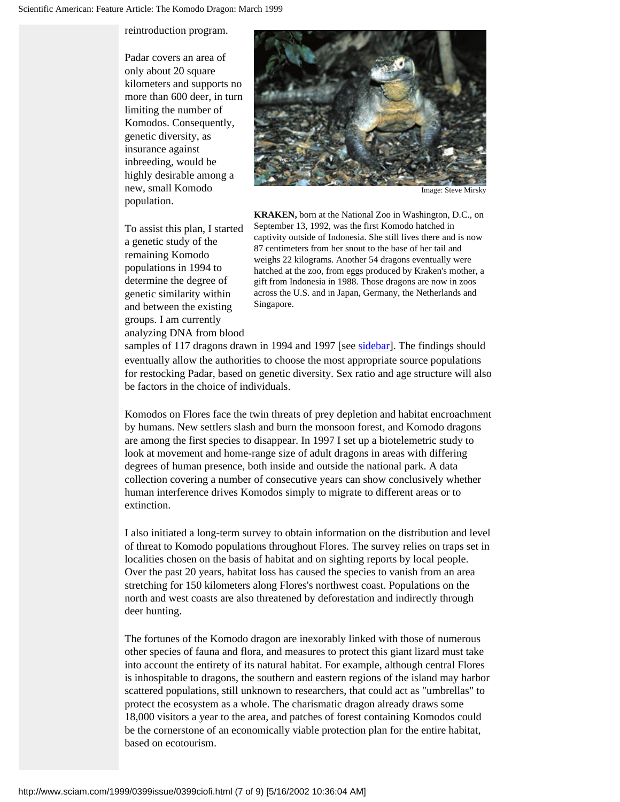reintroduction program.

Padar covers an area of only about 20 square kilometers and supports no more than 600 deer, in turn limiting the number of Komodos. Consequently, genetic diversity, as insurance against inbreeding, would be highly desirable among a new, small Komodo population.

To assist this plan, I started a genetic study of the remaining Komodo populations in 1994 to determine the degree of genetic similarity within and between the existing groups. I am currently analyzing DNA from blood



Image: Steve Mirsky

**KRAKEN,** born at the National Zoo in Washington, D.C., on September 13, 1992, was the first Komodo hatched in captivity outside of Indonesia. She still lives there and is now 87 centimeters from her snout to the base of her tail and weighs 22 kilograms. Another 54 dragons eventually were hatched at the zoo, from eggs produced by Kraken's mother, a gift from Indonesia in 1988. Those dragons are now in zoos across the U.S. and in Japan, Germany, the Netherlands and Singapore.

samples of 117 dragons drawn in 1994 and 1997 [see [sidebar\]](#page-9-0). The findings should eventually allow the authorities to choose the most appropriate source populations for restocking Padar, based on genetic diversity. Sex ratio and age structure will also be factors in the choice of individuals.

Komodos on Flores face the twin threats of prey depletion and habitat encroachment by humans. New settlers slash and burn the monsoon forest, and Komodo dragons are among the first species to disappear. In 1997 I set up a biotelemetric study to look at movement and home-range size of adult dragons in areas with differing degrees of human presence, both inside and outside the national park. A data collection covering a number of consecutive years can show conclusively whether human interference drives Komodos simply to migrate to different areas or to extinction.

I also initiated a long-term survey to obtain information on the distribution and level of threat to Komodo populations throughout Flores. The survey relies on traps set in localities chosen on the basis of habitat and on sighting reports by local people. Over the past 20 years, habitat loss has caused the species to vanish from an area stretching for 150 kilometers along Flores's northwest coast. Populations on the north and west coasts are also threatened by deforestation and indirectly through deer hunting.

The fortunes of the Komodo dragon are inexorably linked with those of numerous other species of fauna and flora, and measures to protect this giant lizard must take into account the entirety of its natural habitat. For example, although central Flores is inhospitable to dragons, the southern and eastern regions of the island may harbor scattered populations, still unknown to researchers, that could act as "umbrellas" to protect the ecosystem as a whole. The charismatic dragon already draws some 18,000 visitors a year to the area, and patches of forest containing Komodos could be the cornerstone of an economically viable protection plan for the entire habitat, based on ecotourism.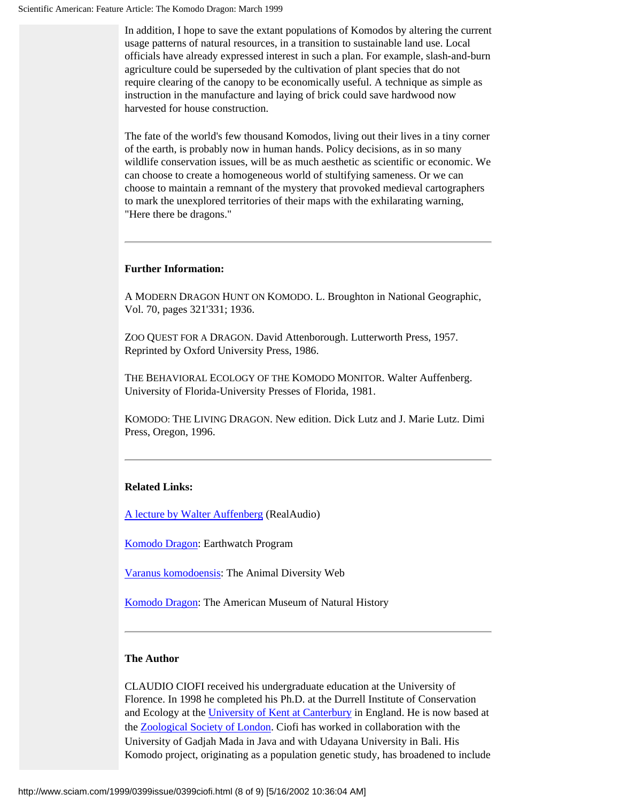In addition, I hope to save the extant populations of Komodos by altering the current usage patterns of natural resources, in a transition to sustainable land use. Local officials have already expressed interest in such a plan. For example, slash-and-burn agriculture could be superseded by the cultivation of plant species that do not require clearing of the canopy to be economically useful. A technique as simple as instruction in the manufacture and laying of brick could save hardwood now harvested for house construction.

The fate of the world's few thousand Komodos, living out their lives in a tiny corner of the earth, is probably now in human hands. Policy decisions, as in so many wildlife conservation issues, will be as much aesthetic as scientific or economic. We can choose to create a homogeneous world of stultifying sameness. Or we can choose to maintain a remnant of the mystery that provoked medieval cartographers to mark the unexplored territories of their maps with the exhilarating warning, "Here there be dragons."

#### **Further Information:**

A MODERN DRAGON HUNT ON KOMODO. L. Broughton in National Geographic, Vol. 70, pages 321'331; 1936.

ZOO QUEST FOR A DRAGON. David Attenborough. Lutterworth Press, 1957. Reprinted by Oxford University Press, 1986.

THE BEHAVIORAL ECOLOGY OF THE KOMODO MONITOR. Walter Auffenberg. University of Florida-University Presses of Florida, 1981.

<span id="page-7-0"></span>KOMODO: THE LIVING DRAGON. New edition. Dick Lutz and J. Marie Lutz. Dimi Press, Oregon, 1996.

#### **Related Links:**

[A lecture by Walter Auffenberg](http://www.si.edu/natzoo/hilights/lectures.htm) (RealAudio)

[Komodo Dragon](http://www.earthwatch.org/x/Xciofi.html): Earthwatch Program

[Varanus komodoensis](http://www.oit.itd.umich.edu/bio/doc.cgi/Chordata/Reptilia/Squamata/Varanidae/Varanus_komodoensis.ftl): The Animal Diversity Web

[Komodo Dragon](http://www.amnh.org/Exhibition/Expedition/Endangered/ora/ora.html): The American Museum of Natural History

#### **The Author**

CLAUDIO CIOFI received his undergraduate education at the University of Florence. In 1998 he completed his Ph.D. at the Durrell Institute of Conservation and Ecology at the [University of Kent at Canterbury](http://www.ukc.ac.uk/) in England. He is now based at the [Zoological Society of London.](http://www.york.biosis.org/zrdocs/zsl.htm) Ciofi has worked in collaboration with the University of Gadjah Mada in Java and with Udayana University in Bali. His Komodo project, originating as a population genetic study, has broadened to include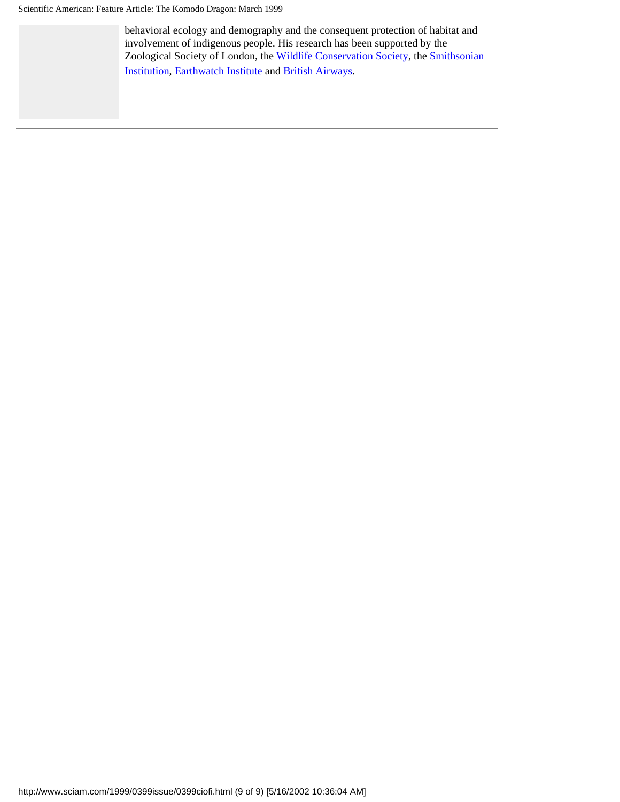| behavioral ecology and demography and the consequent protection of habitat and<br>involvement of indigenous people. His research has been supported by the<br>Zoological Society of London, the Wildlife Conservation Society, the Smithsonian |
|------------------------------------------------------------------------------------------------------------------------------------------------------------------------------------------------------------------------------------------------|
| Institution, Earthwatch Institute and British Airways.                                                                                                                                                                                         |
|                                                                                                                                                                                                                                                |
|                                                                                                                                                                                                                                                |
|                                                                                                                                                                                                                                                |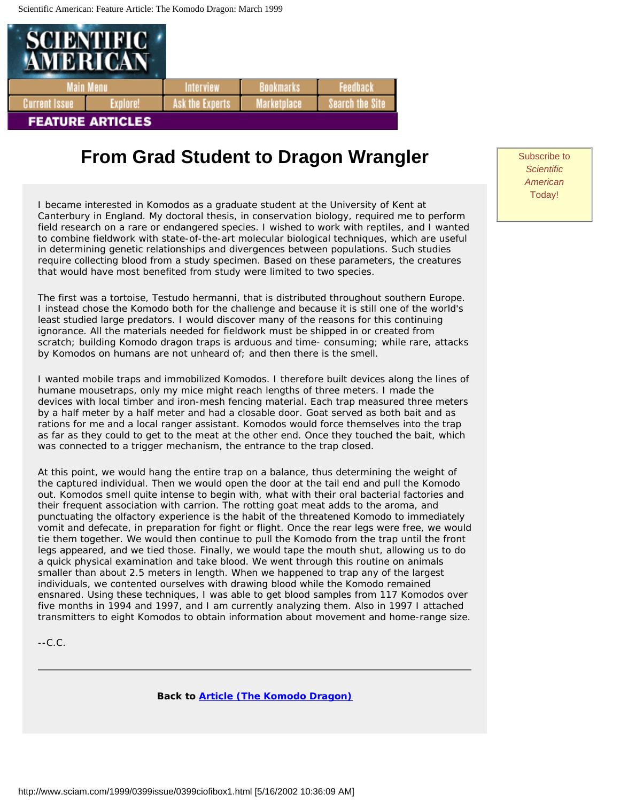<span id="page-9-0"></span>

### **From Grad Student to Dragon Wrangler**

I became interested in Komodos as a graduate student at the University of Kent at Canterbury in England. My doctoral thesis, in conservation biology, required me to perform field research on a rare or endangered species. I wished to work with reptiles, and I wanted to combine fieldwork with state-of-the-art molecular biological techniques, which are useful in determining genetic relationships and divergences between populations. Such studies require collecting blood from a study specimen. Based on these parameters, the creatures that would have most benefited from study were limited to two species.

The first was a tortoise, Testudo hermanni, that is distributed throughout southern Europe. I instead chose the Komodo both for the challenge and because it is still one of the world's least studied large predators. I would discover many of the reasons for this continuing ignorance. All the materials needed for fieldwork must be shipped in or created from scratch; building Komodo dragon traps is arduous and time- consuming; while rare, attacks by Komodos on humans are not unheard of; and then there is the smell.

I wanted mobile traps and immobilized Komodos. I therefore built devices along the lines of humane mousetraps, only my mice might reach lengths of three meters. I made the devices with local timber and iron-mesh fencing material. Each trap measured three meters by a half meter by a half meter and had a closable door. Goat served as both bait and as rations for me and a local ranger assistant. Komodos would force themselves into the trap as far as they could to get to the meat at the other end. Once they touched the bait, which was connected to a trigger mechanism, the entrance to the trap closed.

At this point, we would hang the entire trap on a balance, thus determining the weight of the captured individual. Then we would open the door at the tail end and pull the Komodo out. Komodos smell quite intense to begin with, what with their oral bacterial factories and their frequent association with carrion. The rotting goat meat adds to the aroma, and punctuating the olfactory experience is the habit of the threatened Komodo to immediately vomit and defecate, in preparation for fight or flight. Once the rear legs were free, we would tie them together. We would then continue to pull the Komodo from the trap until the front legs appeared, and we tied those. Finally, we would tape the mouth shut, allowing us to do a quick physical examination and take blood. We went through this routine on animals smaller than about 2.5 meters in length. When we happened to trap any of the largest individuals, we contented ourselves with drawing blood while the Komodo remained ensnared. Using these techniques, I was able to get blood samples from 117 Komodos over five months in 1994 and 1997, and I am currently analyzing them. Also in 1997 I attached transmitters to eight Komodos to obtain information about movement and home-range size.

*--C.C.*

#### **Back to [Article \(The Komodo Dragon\)](#page-0-1)**

[Subscribe to](http://www.sciam.com/subscribe.cfm?lsource=magfeature) *[Scientific](http://www.sciam.com/subscribe.cfm?lsource=magfeature) [American](http://www.sciam.com/subscribe.cfm?lsource=magfeature)* [Today!](http://www.sciam.com/subscribe.cfm?lsource=magfeature)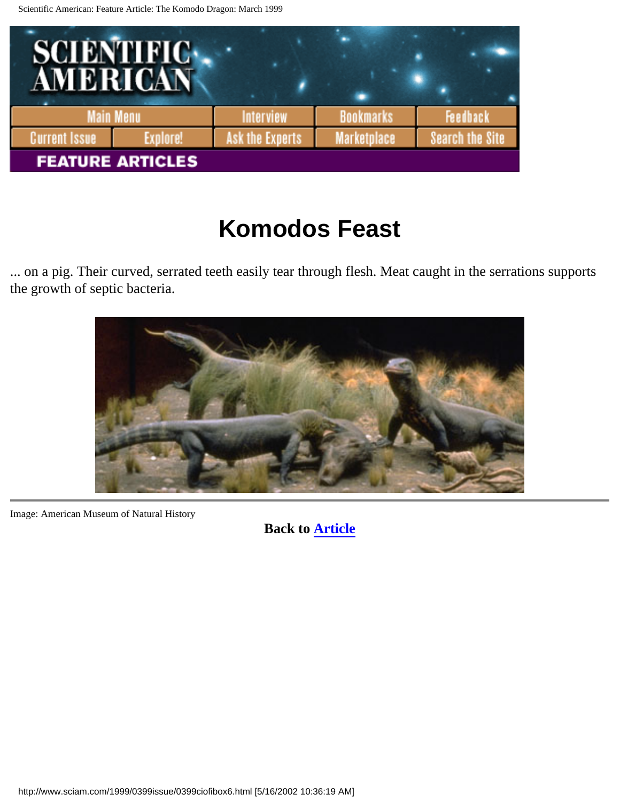Scientific American: Feature Article: The Komodo Dragon: March 1999

<span id="page-10-0"></span>

# **Komodos Feast**

... on a pig. Their curved, serrated teeth easily tear through flesh. Meat caught in the serrations supports the growth of septic bacteria.



Image: American Museum of Natural History

**Back to [Article](#page-0-1)**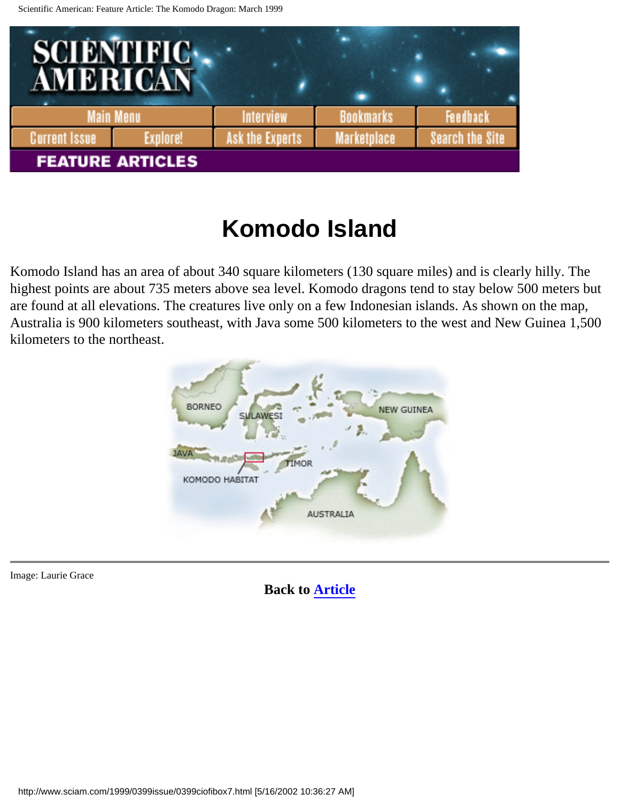Scientific American: Feature Article: The Komodo Dragon: March 1999

<span id="page-11-0"></span>

# **Komodo Island**

Komodo Island has an area of about 340 square kilometers (130 square miles) and is clearly hilly. The highest points are about 735 meters above sea level. Komodo dragons tend to stay below 500 meters but are found at all elevations. The creatures live only on a few Indonesian islands. As shown on the map, Australia is 900 kilometers southeast, with Java some 500 kilometers to the west and New Guinea 1,500 kilometers to the northeast.



Image: Laurie Grace

**Back to [Article](#page-0-1)**